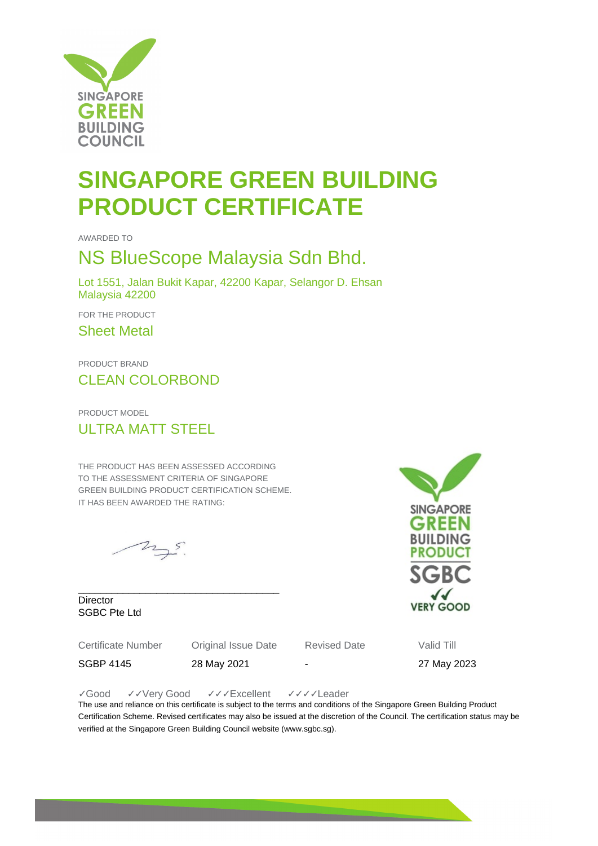

# **SINGAPORE GREEN BUILDING PRODUCT CERTIFICATE**

AWARDED TO

### NS BlueScope Malaysia Sdn Bhd.

Lot 1551, Jalan Bukit Kapar, 42200 Kapar, Selangor D. Ehsan Malaysia 42200

FOR THE PRODUCT

Sheet Metal

PRODUCT BRAND CLEAN COLORBOND

PRODUCT MODEL ULTRA MATT STEEL

THE PRODUCT HAS BEEN ASSESSED ACCORDING TO THE ASSESSMENT CRITERIA OF SINGAPORE GREEN BUILDING PRODUCT CERTIFICATION SCHEME. IT HAS BEEN AWARDED THE RATING:

\_\_\_\_\_\_\_\_\_\_\_\_\_\_\_\_\_\_\_\_\_\_\_\_\_\_\_\_\_\_\_\_\_\_\_\_

 $25.5$ 

**Director** SGBC Pte Ltd

Certificate Number Original Issue Date Revised Date Valid Till

SGBP 4145 28 May 2021 - 27 May 2023

✓Good ✓✓Very Good ✓✓✓Excellent ✓✓✓✓Leader

The use and reliance on this certificate is subject to the terms and conditions of the Singapore Green Building Product Certification Scheme. Revised certificates may also be issued at the discretion of the Council. The certification status may be verified at the Singapore Green Building Council website (www.sgbc.sg).

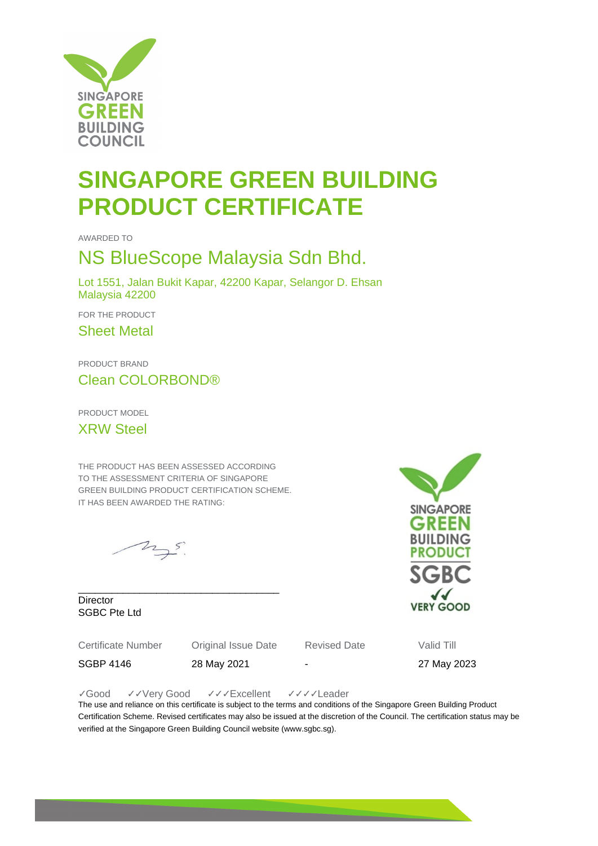

# **SINGAPORE GREEN BUILDING PRODUCT CERTIFICATE**

AWARDED TO

### NS BlueScope Malaysia Sdn Bhd.

Lot 1551, Jalan Bukit Kapar, 42200 Kapar, Selangor D. Ehsan Malaysia 42200

FOR THE PRODUCT

Sheet Metal

PRODUCT BRAND Clean COLORBOND®

PRODUCT MODEL

XRW Steel

THE PRODUCT HAS BEEN ASSESSED ACCORDING TO THE ASSESSMENT CRITERIA OF SINGAPORE GREEN BUILDING PRODUCT CERTIFICATION SCHEME. IT HAS BEEN AWARDED THE RATING:

\_\_\_\_\_\_\_\_\_\_\_\_\_\_\_\_\_\_\_\_\_\_\_\_\_\_\_\_\_\_\_\_\_\_\_\_

 $25.5$ 

**Director** SGBC Pte Ltd

Certificate Number Original Issue Date Revised Date Valid Till

SGBP 4146 28 May 2021 - 27 May 2023

✓Good ✓✓Very Good ✓✓✓Excellent ✓✓✓✓Leader

The use and reliance on this certificate is subject to the terms and conditions of the Singapore Green Building Product Certification Scheme. Revised certificates may also be issued at the discretion of the Council. The certification status may be verified at the Singapore Green Building Council website (www.sgbc.sg).